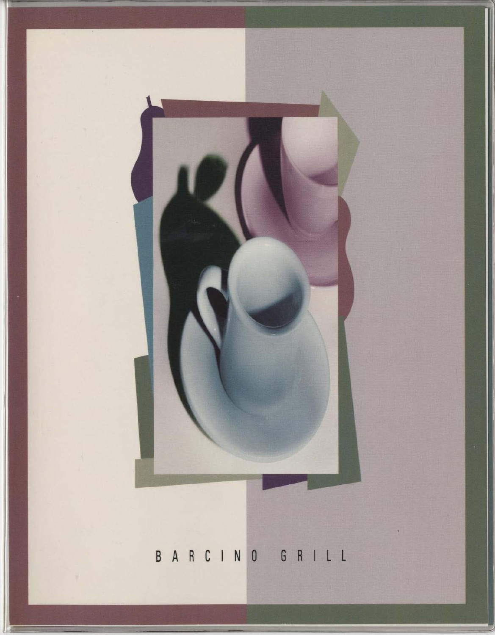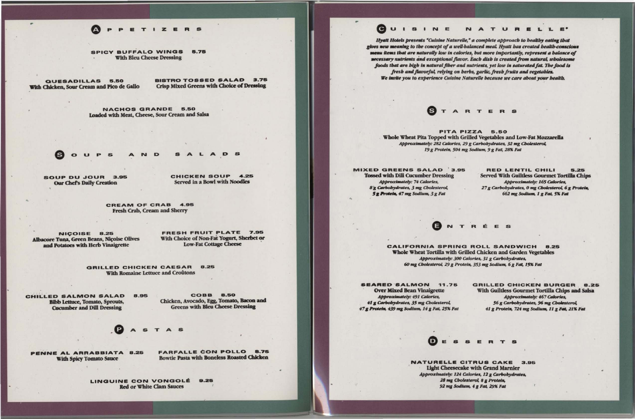## PETIZERS

**SPICY BUFFALO WINGS** 5.75 **With Bleu Cheese Dressing** 

QUESADILLAS 5.50 With Chicken, Sour Cream and Pico de Gallo **BISTRO TOSSED SALAD 3.75 Crisp Mixed Greens with Choice of Dressing** 

NACHOS GRANDE 5.50 Loaded with Meat, Cheese, Sour Cream and Salsa



A D S

SOUP DU JOUR 3.95 **Our Chef's Daily Creation** 

CHICKEN SOUP 4.25 Served in a Bowl with Noodles

CREAM OF CRAB 4.95 Fresh Crab, Cream and Sherry

NICOISE 8.25 Albacore Tuna, Green Beans, Nicoise Olives and Potatoes with Herb Vinaigrette

FRESH FRUIT PLATE 7.95 With Choice of Non-Fat Yogurt, Sherbet or **Low-Fat Cottage Cheese** 

GRILLED CHICKEN CAESAR 8.25 With Romaine Lettuce and Croûtons

CHILLED SALMON SALAD 8.95 **Bibb Lettuce, Tomato, Sprouts, Cucumber and Dill Dressing** 

**COBB 8.50** Chicken, Avocado, Egg, Tomato, Bacon and **Greens with Bleu Cheese Dressing** 

**ASTAS** 

With Spicy Tomato Sauce

**FARFALLE CON POLLO 8.75 Rowtie Pasta with Boneless Roasted Chicken** 

PENNE AL ARRABBIATA 8.25

LINGUINE CON VONGOLÉ 9.25 **Red or White Clam Sauces** 

Hyatt Hotels presents "Cuisine Naturelle," a complete approach to healthy eating that gives new meaning to the concept of a well-balanced meal. Hyatt has created health-conscious menu items that are naturally low in calories, but more importantly, represent a balance of necessary nutrients and exceptional flavor. Each dish is created from natural, wholesome foods that are high in natural fiber and nutrients, yet low in saturated fat. The food is fresh and flavorful, relying on herbs, garlic, fresh fruits and vegetables. We invite you to experience Cuisine Naturelle because we care about your bealth.

**STARTERS** 

PITA PIZZA 5.50 Whole Wheat Pita Topped with Grilled Vegetables and Low-Fat Mozzarella Approximately: 282 Calories, 29 g Carbobydrates, 32 mg Cholesterol, 19 g Protein, 504 mg Sodium, 9 g Fat, 28% Fat

**MIXED GREENS SALAD 3.95 Tossed with Dill Cucumber Dressing Approximately: 74 Calories,** 8<sup>g</sup> Carbobydrates, 3 mg Cholesterol, 5g Protein, 47 mg Sodium, 3g Fat

**CALIFORNIA SPRING ROLL SANDWICH 8.25** Whole Wheat Tortilla with Grilled Chicken and Garden Vegetables Approximately: 300 Calories, 31 g Carbobydrates, 60 mg Cholesterol, 29 g Protein, 353 mg Sodium, 6 g Fat, 15% Fat

**SEARED SALMON 11.75 Over Mixed Bean Vinaigrette Approximately: 491 Calories,** 41 g Carbobydrates, 35 mg Cholesterol, 47 g Protein, 439 mg Sodium, 14 g Fat, 25% Fat

**NATURELLE CITRUS CAKE 3.95** Light Cheesecake with Grand Marnier Approximately: 124 Calories, 12 g Carbobydrates, 28 mg Cholesterol, 8 g Protein, 92 mg Sodium, 4 g Fat, 29% Fat

## GUISINE NATURELLE'

**RED LENTIL CHILI** 5.25 **Served With Guiltless Gourmet Tortilla Chips Approximately: 165 Calories,** 27 g Carbobydrates, 0 mg Cholesterol, 6 g Protein, 662 mg Sodium, 1 g Fat, 5% Fat

**BNTRÉES** 

**GRILLED CHICKEN BURGER 8.25** With Guiltless Gourmet Tortilla Chips and Salsa **Approximately: 467 Calories,** 56 g Carbobydrates, 96 mg Cholesterol, 41 g Protein, 724 mg Sodium, 11 g Fat, 21% Fat